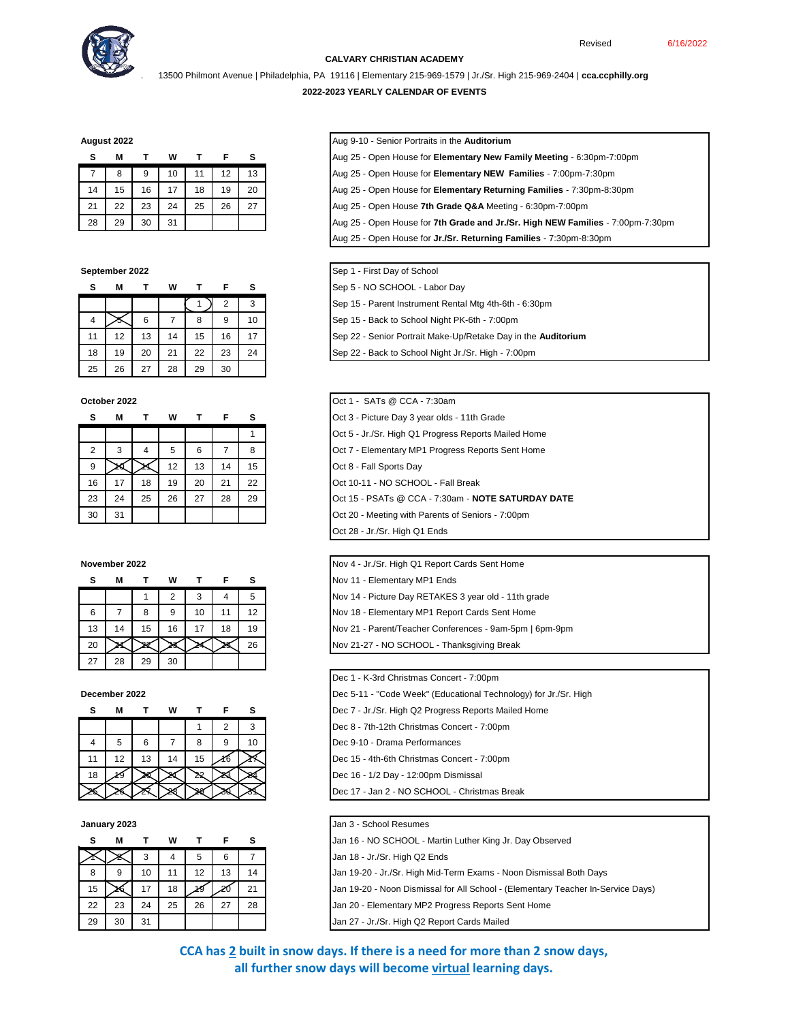

# **CALVARY CHRISTIAN ACADEMY**

. 13500 Philmont Avenue | Philadelphia, PA 19116 | Elementary 215-969-1579 | Jr./Sr. High 215-969-2404 | **cca.ccphilly.org**

## **2022-2023 YEARLY CALENDAR OF EVENTS**

|    | М  |    | w  |    |    | s  |
|----|----|----|----|----|----|----|
|    | 8  | 9  | 10 | 11 | 12 | 13 |
| 14 | 15 | 16 | 17 | 18 | 19 | 20 |
| 21 | 22 | 23 | 24 | 25 | 26 | 27 |
| 28 | 29 | 30 | 31 |    |    |    |

| s  | М  |    | w  |    | F              | s  |
|----|----|----|----|----|----------------|----|
|    |    |    |    |    | $\overline{2}$ | 3  |
|    |    | 6  |    | 8  | 9              | 10 |
| 11 | 12 | 13 | 14 | 15 | 16             | 17 |
| 18 | 19 | 20 | 21 | 22 | 23             | 24 |
| 25 | 26 | 27 | 28 | 29 | 30             |    |

### **October 2022**

| s             | м  |    | w  |    |    | s  |
|---------------|----|----|----|----|----|----|
|               |    |    |    |    |    |    |
| $\mathcal{P}$ | 3  | 4  | 5  | 6  |    | 8  |
| 9             |    |    | 12 | 13 | 14 | 15 |
| 16            | 17 | 18 | 19 | 20 | 21 | 22 |
| 23            | 24 | 25 | 26 | 27 | 28 | 29 |
| 30            | 31 |    |    |    |    |    |

## **November 2022**

| s  | М  |    | w  |    |    | s  |
|----|----|----|----|----|----|----|
|    |    |    |    | 3  |    | 5  |
| 6  |    | 8  | 9  | 10 | 11 | 12 |
| 13 | 14 | 15 | 16 | 17 | 18 | 19 |
| 20 |    |    |    |    |    | 26 |
| 27 | 28 | 29 | 30 |    |    |    |

|    | М  |    | W  |    |   | s  |
|----|----|----|----|----|---|----|
|    |    |    |    |    | 2 | 3  |
|    | 5  | 6  |    | 8  | g | 10 |
| 11 | 12 | 13 | 14 | 15 |   |    |
| 18 |    |    |    |    |   |    |
|    |    |    |    |    |   |    |

## **January 2023**

|    | М  |    | w  |    |    |    |
|----|----|----|----|----|----|----|
|    |    | 3  |    | 5  | 6  |    |
| 8  | 9  | 10 | 11 | 12 | 13 | 14 |
| 15 |    | 17 | 18 |    |    |    |
| 22 | 23 | 24 | 25 | 26 | 27 | 28 |
| 29 | 30 | 31 |    |    |    |    |

**August 2022** Aug 9-10 - Senior Portraits in the **Auditorium**

| M<br>TWTFS | Aug 25 - Open House for Elementary New Family Meeting - 6:30pm-7:00pm |
|------------|-----------------------------------------------------------------------|
|------------|-----------------------------------------------------------------------|

7 8 9 10 11 12 13 Aug 25 - Open House for **Elementary NEW Families** - 7:00pm-7:30pm

14 15 16 17 18 19 20 Aug 25 - Open House for **Elementary Returning Families** - 7:30pm-8:30pm

21 22 23 24 25 26 27 Aug 25 - Open House **7th Grade Q&A** Meeting - 6:30pm-7:00pm

28 29 30 31 Aug 25 - Open House for **7th Grade and Jr./Sr. High NEW Families** - 7:00pm-7:30pm

Aug 25 - Open House for **Jr./Sr. Returning Families** - 7:30pm-8:30pm

## **September 2022** Sep 1 - First Day of School

**S M T W T F S** Sep 5 - NO SCHOOL - Labor Day

1 2 3 Sep 15 - Parent Instrument Rental Mtg 4th-6th - 6:30pm

Sep 15 - Back to School Night PK-6th - 7:00pm

11 12 13 14 15 16 17 Sep 22 - Senior Portrait Make-Up/Retake Day in the **Auditorium**

Sep 22 - Back to School Night Jr./Sr. High - 7:00pm

|    | ctober 2022 |    |    |    |    |    |
|----|-------------|----|----|----|----|----|
| s  | м           |    | w  |    | Е  | s  |
|    |             |    |    |    |    |    |
| 2  | 3           | 4  | 5  | 6  |    | 8  |
| 9  |             |    | 12 | 13 | 14 | 15 |
| 16 | 17          | 18 | 19 | 20 | 21 | 22 |
| 23 | 24          | 25 | 26 | 27 | 28 | 29 |
| 30 | 31          |    |    |    |    |    |
|    |             |    |    |    |    |    |

|    | ovember 2022 |    |    |    |    |    |
|----|--------------|----|----|----|----|----|
| s  | М            |    | w  |    |    |    |
|    |              |    |    |    |    | 5  |
| 6  |              | 8  | 9  | 10 |    | 12 |
| 13 | 14           | 15 | 16 |    | 18 | 19 |
| 20 |              |    |    |    |    | 26 |

Dec 1 - K-3rd Christmas Concert - 7:00pm **December 2022 December 2022 December 2022 December 2022 December 2022 December 2022 December 2022 December 2020 December 2020 December 2020 December 2020 December 2020 December 2020 December 2020 S M T W T F S** Dec 7 - Jr./Sr. High Q2 Progress Reports Mailed Home Dec 8 - 7th-12th Christmas Concert - 7:00pm Dec 9-10 - Drama Performances Dec 15 - 4th-6th Christmas Concert - 7:00pm Dec 16 - 1/2 Day - 12:00pm Dismissal Dec 17 - Jan 2 - NO SCHOOL - Christmas Break

|    | anuary 2023 |    |    |     |    |    |
|----|-------------|----|----|-----|----|----|
|    |             |    |    |     |    |    |
| s  |             |    | w  |     |    |    |
|    |             |    |    |     |    |    |
| 8  |             | 10 |    | 12  | 13 | 14 |
| 15 |             | 17 | 18 | -19 |    | 21 |
| 22 | 23          | 24 | 25 | 26  | 27 | 28 |
| 29 | 30          | 31 |    |     |    |    |

**CCA has 2 built in snow days. If there is a need for more than 2 snow days, all further snow days will become virtual learning days.**

Revised 6/16/2022